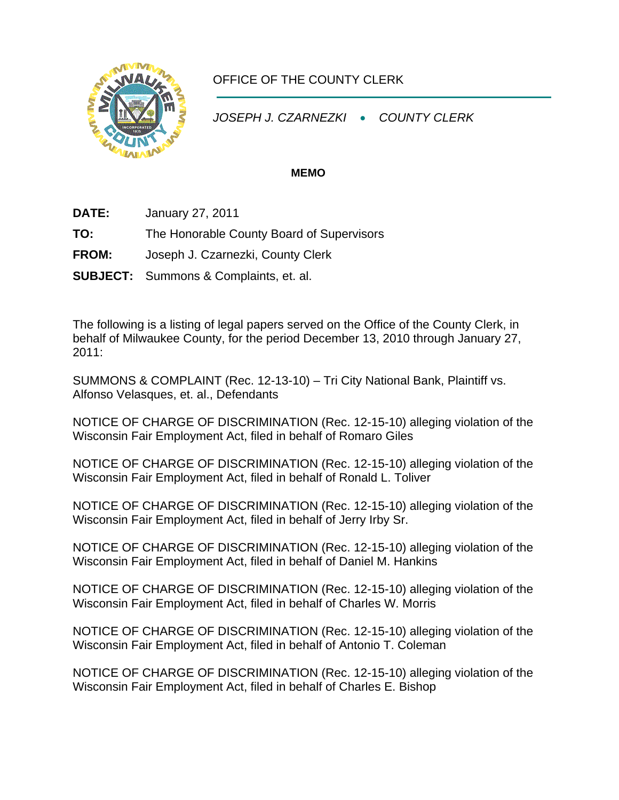

## OFFICE OF THE COUNTY CLERK

*JOSEPH J. CZARNEZKI* • *COUNTY CLERK* 

## **MEMO**

**DATE:** January 27, 2011

**TO:** The Honorable County Board of Supervisors

**FROM:** Joseph J. Czarnezki, County Clerk

**SUBJECT:** Summons & Complaints, et. al.

The following is a listing of legal papers served on the Office of the County Clerk, in behalf of Milwaukee County, for the period December 13, 2010 through January 27, 2011:

SUMMONS & COMPLAINT (Rec. 12-13-10) – Tri City National Bank, Plaintiff vs. Alfonso Velasques, et. al., Defendants

NOTICE OF CHARGE OF DISCRIMINATION (Rec. 12-15-10) alleging violation of the Wisconsin Fair Employment Act, filed in behalf of Romaro Giles

NOTICE OF CHARGE OF DISCRIMINATION (Rec. 12-15-10) alleging violation of the Wisconsin Fair Employment Act, filed in behalf of Ronald L. Toliver

NOTICE OF CHARGE OF DISCRIMINATION (Rec. 12-15-10) alleging violation of the Wisconsin Fair Employment Act, filed in behalf of Jerry Irby Sr.

NOTICE OF CHARGE OF DISCRIMINATION (Rec. 12-15-10) alleging violation of the Wisconsin Fair Employment Act, filed in behalf of Daniel M. Hankins

NOTICE OF CHARGE OF DISCRIMINATION (Rec. 12-15-10) alleging violation of the Wisconsin Fair Employment Act, filed in behalf of Charles W. Morris

NOTICE OF CHARGE OF DISCRIMINATION (Rec. 12-15-10) alleging violation of the Wisconsin Fair Employment Act, filed in behalf of Antonio T. Coleman

NOTICE OF CHARGE OF DISCRIMINATION (Rec. 12-15-10) alleging violation of the Wisconsin Fair Employment Act, filed in behalf of Charles E. Bishop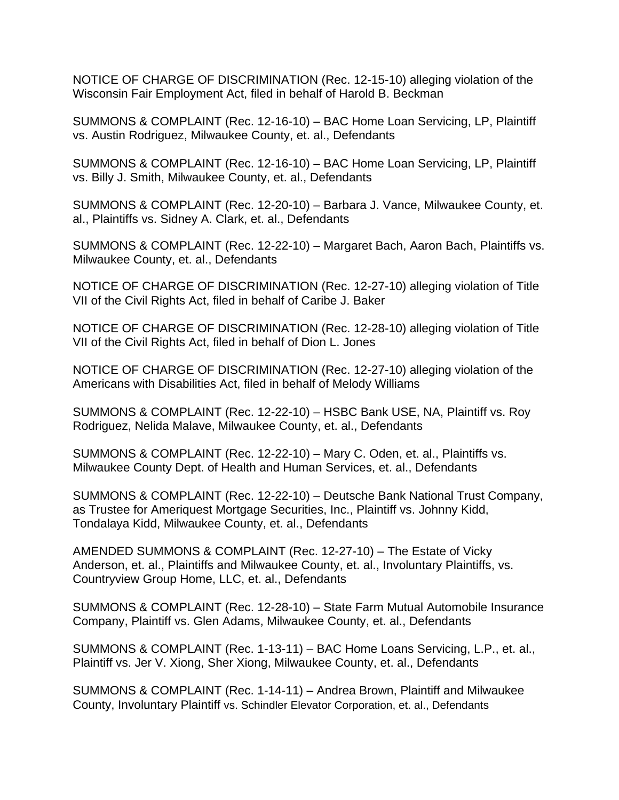NOTICE OF CHARGE OF DISCRIMINATION (Rec. 12-15-10) alleging violation of the Wisconsin Fair Employment Act, filed in behalf of Harold B. Beckman

SUMMONS & COMPLAINT (Rec. 12-16-10) – BAC Home Loan Servicing, LP, Plaintiff vs. Austin Rodriguez, Milwaukee County, et. al., Defendants

SUMMONS & COMPLAINT (Rec. 12-16-10) – BAC Home Loan Servicing, LP, Plaintiff vs. Billy J. Smith, Milwaukee County, et. al., Defendants

SUMMONS & COMPLAINT (Rec. 12-20-10) – Barbara J. Vance, Milwaukee County, et. al., Plaintiffs vs. Sidney A. Clark, et. al., Defendants

SUMMONS & COMPLAINT (Rec. 12-22-10) – Margaret Bach, Aaron Bach, Plaintiffs vs. Milwaukee County, et. al., Defendants

NOTICE OF CHARGE OF DISCRIMINATION (Rec. 12-27-10) alleging violation of Title VII of the Civil Rights Act, filed in behalf of Caribe J. Baker

NOTICE OF CHARGE OF DISCRIMINATION (Rec. 12-28-10) alleging violation of Title VII of the Civil Rights Act, filed in behalf of Dion L. Jones

NOTICE OF CHARGE OF DISCRIMINATION (Rec. 12-27-10) alleging violation of the Americans with Disabilities Act, filed in behalf of Melody Williams

SUMMONS & COMPLAINT (Rec. 12-22-10) – HSBC Bank USE, NA, Plaintiff vs. Roy Rodriguez, Nelida Malave, Milwaukee County, et. al., Defendants

SUMMONS & COMPLAINT (Rec. 12-22-10) – Mary C. Oden, et. al., Plaintiffs vs. Milwaukee County Dept. of Health and Human Services, et. al., Defendants

SUMMONS & COMPLAINT (Rec. 12-22-10) – Deutsche Bank National Trust Company, as Trustee for Ameriquest Mortgage Securities, Inc., Plaintiff vs. Johnny Kidd, Tondalaya Kidd, Milwaukee County, et. al., Defendants

AMENDED SUMMONS & COMPLAINT (Rec. 12-27-10) – The Estate of Vicky Anderson, et. al., Plaintiffs and Milwaukee County, et. al., Involuntary Plaintiffs, vs. Countryview Group Home, LLC, et. al., Defendants

SUMMONS & COMPLAINT (Rec. 12-28-10) – State Farm Mutual Automobile Insurance Company, Plaintiff vs. Glen Adams, Milwaukee County, et. al., Defendants

SUMMONS & COMPLAINT (Rec. 1-13-11) – BAC Home Loans Servicing, L.P., et. al., Plaintiff vs. Jer V. Xiong, Sher Xiong, Milwaukee County, et. al., Defendants

SUMMONS & COMPLAINT (Rec. 1-14-11) – Andrea Brown, Plaintiff and Milwaukee County, Involuntary Plaintiff vs. Schindler Elevator Corporation, et. al., Defendants